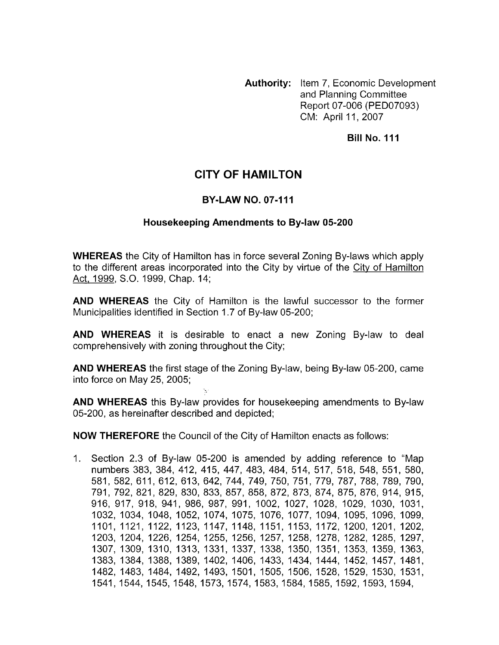**Authority:** Item 7, Economic Development and Planning Committee Report 07-006 (PED07093) CM: April 11, 2007

**Bill No. 111** 

## **CITY OF HAMILTON**

## **BY-LAW NO. 07-111**

## **Housekeeping Amendments to Bylaw 05-200**

**WHEREAS** the City of Hamilton has in force several Zoning By-laws which apply to the different areas incorporated into the City by virtue of the City of Hamilton Act, 1999, S.O. 1999, Chap. 14;

**AND WHEREAS** the City of Hamilton is the lawful successor to the former Municipalities identified in Section 1.7 of By-law 05-200;

**AND WHEREAS** it is desirable to enact a new Zoning By-law to deal comprehensively with zoning throughout the City;

**AND WHEREAS** the first stage of the Zoning By-law, being By-law 05-200, came into force on May 25, 2005;

**AND WHEREAS** this By-law provides for housekeeping amendments to By-law 05-200, as hereinafter described and depicted;

**NOW THEREFORE** the Council of the City of Hamilton enacts as follows:

1. Section 2.3 of By-law 05-200 is amended by adding reference to "Map numbers 383, 384, 412, 415, 447, 483, 484, 514, 517, 518, 548, 551, 580, 581, 582, 61 1, 612, 613, 642, 744, 749, 750, 751, 779, 787, 788, 789, 790, 791, 792, 821, 829, 830, 833, 857, 858, 872, 873, 874, 875, 876, 914, 915, 916, 917, 918, 941, 986, 987, 991, 1002, 1027, 1028, 1029, 1030, 1031, 1032, 1034, 1048, 1052, 1074, 1075, 1076, 1077, 1094, 1095, 1096, 1099, 1101, 1121, 1122, 1123, 1147, 1148, 1151, 1153, 1172, 1200, 1201, 1202, 1203, 1204, 1226, 1254, 1255, 1256, 1257, 1258, 1278, 1282, 1285, 1297, 1307, 1309, 1310, 1313, 1331, 1337, 1338, 1350, 1351, 1353, 1359, 1363, 1383, 1384, 1388, 1389, 1402, 1406, 1433, 1434, 1444, 1452, 1457, 1481, 1482, 1483, 1484, 1492, 1493, 1501, 1505, 1506, 1528, 1529, 1530, 1531, 1541,1544,1545,1548,1573,1574,1583,1584,1585,1592,1593,1594,